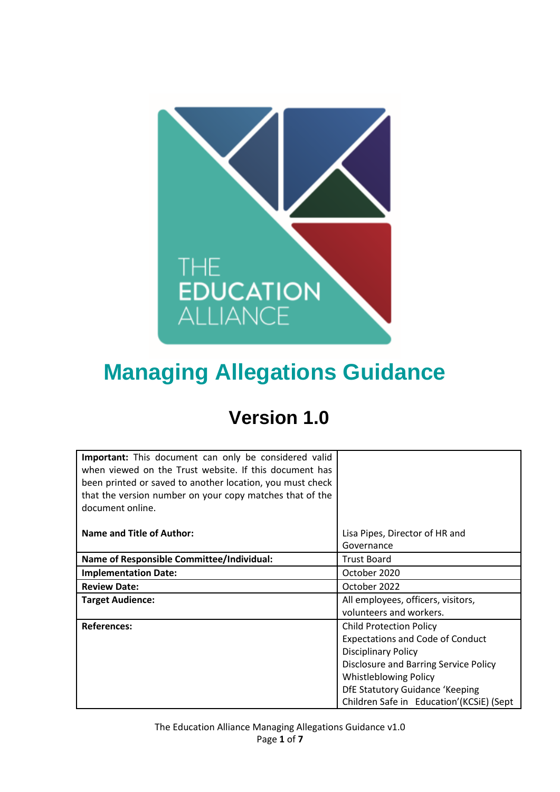

# **Managing Allegations Guidance**

## **Version 1.0**

| Important: This document can only be considered valid<br>when viewed on the Trust website. If this document has<br>been printed or saved to another location, you must check<br>that the version number on your copy matches that of the<br>document online. |                                              |
|--------------------------------------------------------------------------------------------------------------------------------------------------------------------------------------------------------------------------------------------------------------|----------------------------------------------|
| Name and Title of Author:                                                                                                                                                                                                                                    | Lisa Pipes, Director of HR and<br>Governance |
| <b>Name of Responsible Committee/Individual:</b>                                                                                                                                                                                                             | <b>Trust Board</b>                           |
| <b>Implementation Date:</b>                                                                                                                                                                                                                                  | October 2020                                 |
| <b>Review Date:</b>                                                                                                                                                                                                                                          | October 2022                                 |
| <b>Target Audience:</b>                                                                                                                                                                                                                                      | All employees, officers, visitors,           |
|                                                                                                                                                                                                                                                              | volunteers and workers.                      |
| <b>References:</b>                                                                                                                                                                                                                                           | <b>Child Protection Policy</b>               |
|                                                                                                                                                                                                                                                              | <b>Expectations and Code of Conduct</b>      |
|                                                                                                                                                                                                                                                              | <b>Disciplinary Policy</b>                   |
|                                                                                                                                                                                                                                                              | Disclosure and Barring Service Policy        |
|                                                                                                                                                                                                                                                              | <b>Whistleblowing Policy</b>                 |
|                                                                                                                                                                                                                                                              | DfE Statutory Guidance 'Keeping              |
|                                                                                                                                                                                                                                                              | Children Safe in Education' (KCSiE) (Sept    |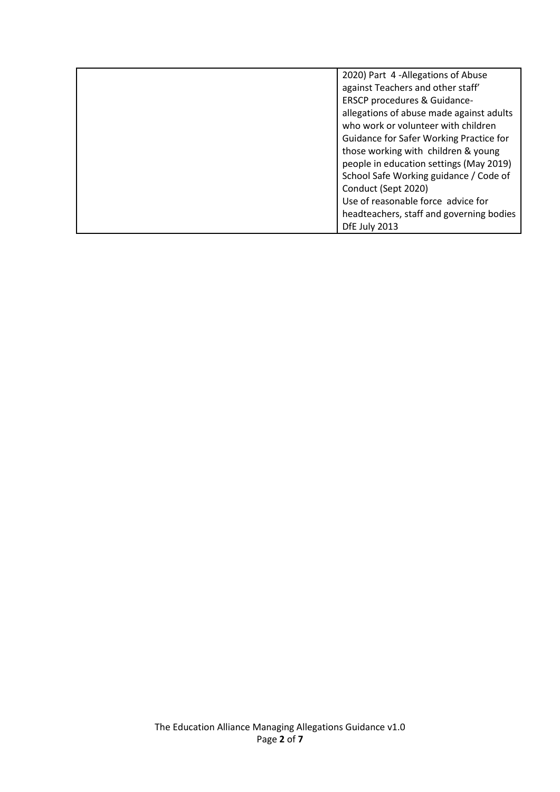| 2020) Part 4 -Allegations of Abuse       |
|------------------------------------------|
| against Teachers and other staff'        |
| ERSCP procedures & Guidance-             |
| allegations of abuse made against adults |
| who work or volunteer with children      |
| Guidance for Safer Working Practice for  |
| those working with children & young      |
| people in education settings (May 2019)  |
| School Safe Working guidance / Code of   |
| Conduct (Sept 2020)                      |
| Use of reasonable force advice for       |
| headteachers, staff and governing bodies |
| DfE July 2013                            |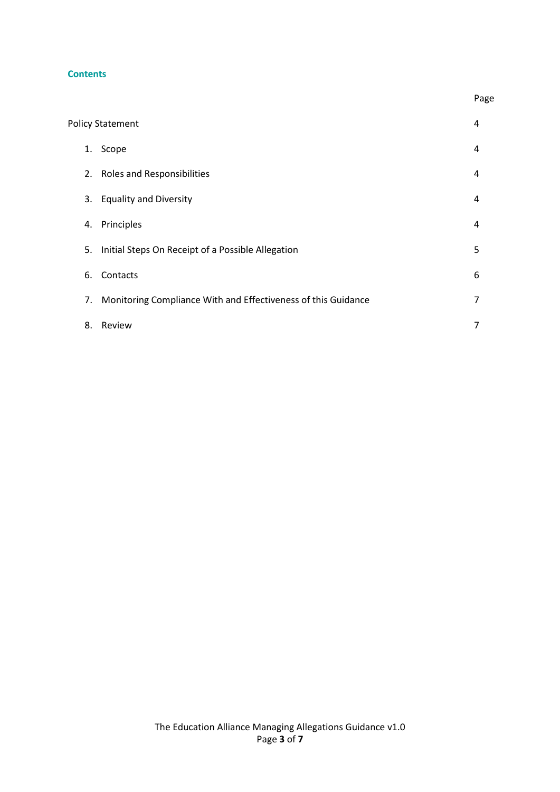#### **Contents**

| <b>Policy Statement</b> |                                                               | 4 |
|-------------------------|---------------------------------------------------------------|---|
| 1.                      | Scope                                                         | 4 |
|                         | 2. Roles and Responsibilities                                 | 4 |
| 3.                      | <b>Equality and Diversity</b>                                 | 4 |
| 4.                      | Principles                                                    | 4 |
| 5.                      | Initial Steps On Receipt of a Possible Allegation             | 5 |
| 6.                      | Contacts                                                      | 6 |
| 7.                      | Monitoring Compliance With and Effectiveness of this Guidance | 7 |
| 8.                      | Review                                                        | 7 |

Page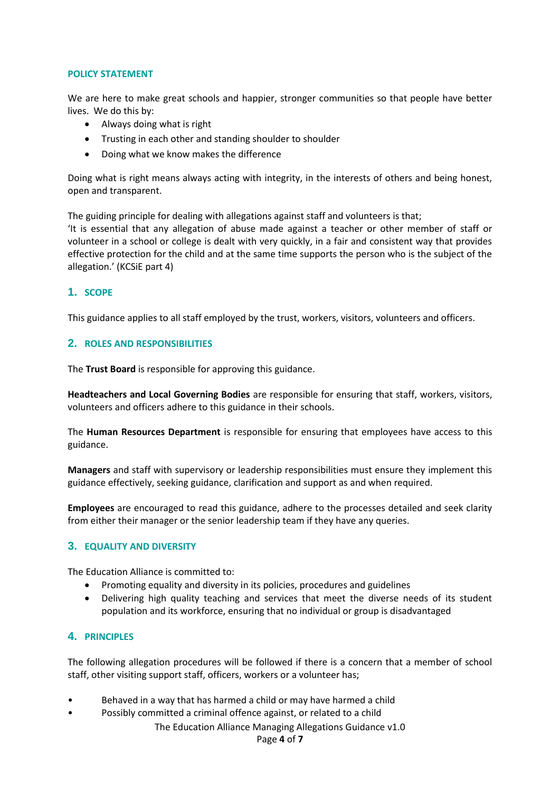#### **POLICY STATEMENT**

We are here to make great schools and happier, stronger communities so that people have better lives. We do this by:

- Always doing what is right
- Trusting in each other and standing shoulder to shoulder
- Doing what we know makes the difference

Doing what is right means always acting with integrity, in the interests of others and being honest, open and transparent.

The guiding principle for dealing with allegations against staff and volunteers is that; 'It is essential that any allegation of abuse made against a teacher or other member of staff or volunteer in a school or college is dealt with very quickly, in a fair and consistent way that provides effective protection for the child and at the same time supports the person who is the subject of the allegation.' (KCSiE part 4)

#### **1. SCOPE**

This guidance applies to all staff employed by the trust, workers, visitors, volunteers and officers.

#### **2. ROLES AND RESPONSIBILITIES**

The **Trust Board** is responsible for approving this guidance.

**Headteachers and Local Governing Bodies** are responsible for ensuring that staff, workers, visitors, volunteers and officers adhere to this guidance in their schools.

The **Human Resources Department** is responsible for ensuring that employees have access to this guidance.

**Managers** and staff with supervisory or leadership responsibilities must ensure they implement this guidance effectively, seeking guidance, clarification and support as and when required.

**Employees** are encouraged to read this guidance, adhere to the processes detailed and seek clarity from either their manager or the senior leadership team if they have any queries.

#### **3. EQUALITY AND DIVERSITY**

The Education Alliance is committed to:

- Promoting equality and diversity in its policies, procedures and guidelines
- Delivering high quality teaching and services that meet the diverse needs of its student population and its workforce, ensuring that no individual or group is disadvantaged

#### **4. PRINCIPLES**

The following allegation procedures will be followed if there is a concern that a member of school staff, other visiting support staff, officers, workers or a volunteer has;

- Behaved in a way that has harmed a child or may have harmed a child
- Possibly committed a criminal offence against, or related to a child

The Education Alliance Managing Allegations Guidance v1.0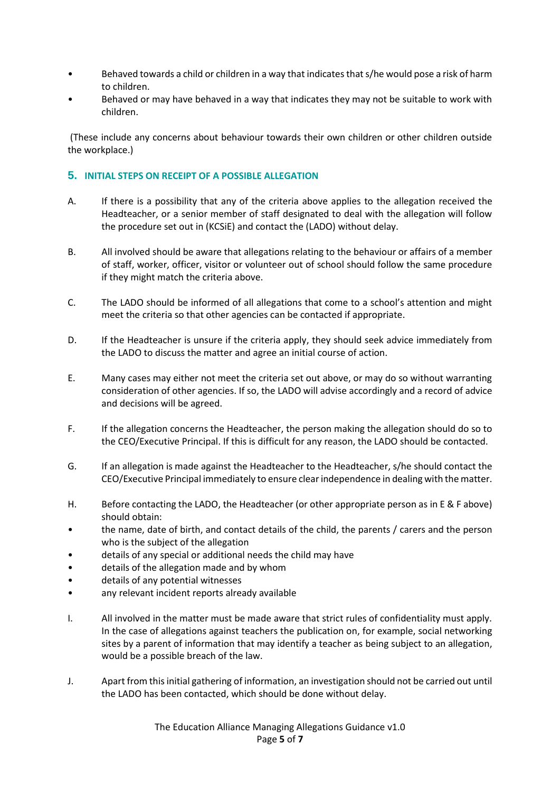- Behaved towards a child or children in a way that indicates that s/he would pose a risk of harm to children.
- Behaved or may have behaved in a way that indicates they may not be suitable to work with children.

(These include any concerns about behaviour towards their own children or other children outside the workplace.)

#### **5. INITIAL STEPS ON RECEIPT OF A POSSIBLE ALLEGATION**

- A. If there is a possibility that any of the criteria above applies to the allegation received the Headteacher, or a senior member of staff designated to deal with the allegation will follow the procedure set out in (KCSiE) and contact the (LADO) without delay.
- B. All involved should be aware that allegations relating to the behaviour or affairs of a member of staff, worker, officer, visitor or volunteer out of school should follow the same procedure if they might match the criteria above.
- C. The LADO should be informed of all allegations that come to a school's attention and might meet the criteria so that other agencies can be contacted if appropriate.
- D. If the Headteacher is unsure if the criteria apply, they should seek advice immediately from the LADO to discuss the matter and agree an initial course of action.
- E. Many cases may either not meet the criteria set out above, or may do so without warranting consideration of other agencies. If so, the LADO will advise accordingly and a record of advice and decisions will be agreed.
- F. If the allegation concerns the Headteacher, the person making the allegation should do so to the CEO/Executive Principal. If this is difficult for any reason, the LADO should be contacted.
- G. If an allegation is made against the Headteacher to the Headteacher, s/he should contact the CEO/Executive Principal immediately to ensure clear independence in dealing with the matter.
- H. Before contacting the LADO, the Headteacher (or other appropriate person as in E & F above) should obtain:
- the name, date of birth, and contact details of the child, the parents / carers and the person who is the subject of the allegation
- details of any special or additional needs the child may have
- details of the allegation made and by whom
- details of any potential witnesses
- any relevant incident reports already available
- I. All involved in the matter must be made aware that strict rules of confidentiality must apply. In the case of allegations against teachers the publication on, for example, social networking sites by a parent of information that may identify a teacher as being subject to an allegation, would be a possible breach of the law.
- J. Apart from this initial gathering of information, an investigation should not be carried out until the LADO has been contacted, which should be done without delay.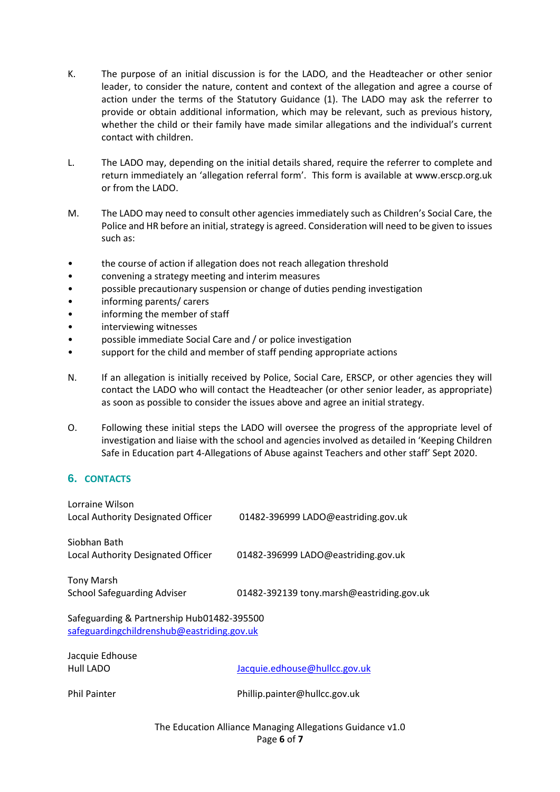- K. The purpose of an initial discussion is for the LADO, and the Headteacher or other senior leader, to consider the nature, content and context of the allegation and agree a course of action under the terms of the Statutory Guidance (1). The LADO may ask the referrer to provide or obtain additional information, which may be relevant, such as previous history, whether the child or their family have made similar allegations and the individual's current contact with children.
- L. The LADO may, depending on the initial details shared, require the referrer to complete and return immediately an 'allegation referral form'. This form is available at www.erscp.org.uk or from the LADO.
- M. The LADO may need to consult other agencies immediately such as Children's Social Care, the Police and HR before an initial, strategy is agreed. Consideration will need to be given to issues such as:
- the course of action if allegation does not reach allegation threshold
- convening a strategy meeting and interim measures
- possible precautionary suspension or change of duties pending investigation
- informing parents/ carers
- informing the member of staff
- interviewing witnesses
- possible immediate Social Care and / or police investigation
- support for the child and member of staff pending appropriate actions
- N. If an allegation is initially received by Police, Social Care, ERSCP, or other agencies they will contact the LADO who will contact the Headteacher (or other senior leader, as appropriate) as soon as possible to consider the issues above and agree an initial strategy.
- O. Following these initial steps the LADO will oversee the progress of the appropriate level of investigation and liaise with the school and agencies involved as detailed in 'Keeping Children Safe in Education part 4-Allegations of Abuse against Teachers and other staff' Sept 2020.

#### **6. CONTACTS**

| Lorraine Wilson<br>Local Authority Designated Officer                                    | 01482-396999 LADO@eastriding.gov.uk       |  |  |
|------------------------------------------------------------------------------------------|-------------------------------------------|--|--|
| Siobhan Bath<br>Local Authority Designated Officer                                       | 01482-396999 LADO@eastriding.gov.uk       |  |  |
| <b>Tony Marsh</b><br><b>School Safeguarding Adviser</b>                                  | 01482-392139 tony.marsh@eastriding.gov.uk |  |  |
| Safeguarding & Partnership Hub01482-395500<br>safeguardingchildrenshub@eastriding.gov.uk |                                           |  |  |
| Jacquie Edhouse<br>Hull LADO                                                             | Jacquie.edhouse@hullcc.gov.uk             |  |  |
| <b>Phil Painter</b>                                                                      | Phillip.painter@hullcc.gov.uk             |  |  |

The Education Alliance Managing Allegations Guidance v1.0 Page **6** of **7**